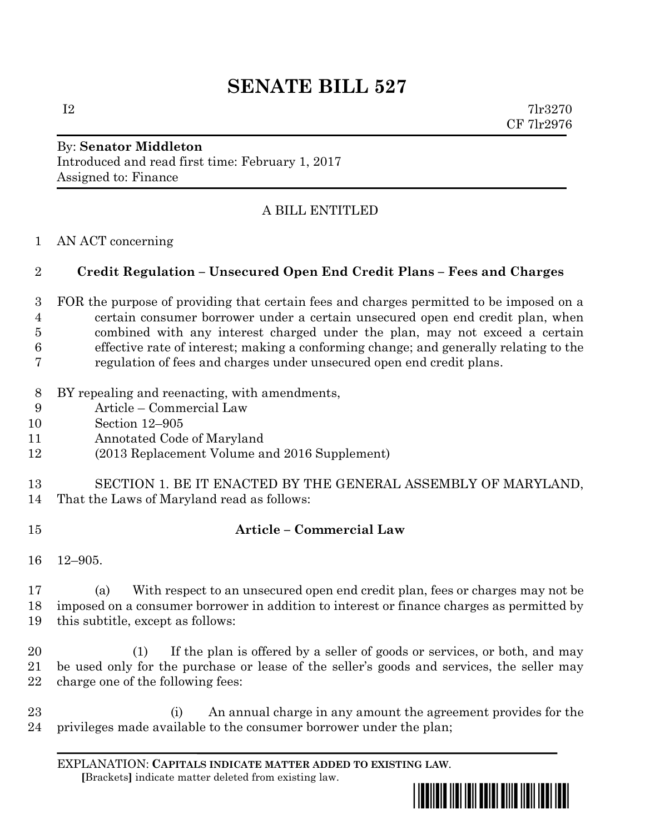# **SENATE BILL 527**

 $I2 \t\t 7\text{lr}3270$ CF 7lr2976

## By: **Senator Middleton** Introduced and read first time: February 1, 2017 Assigned to: Finance

## A BILL ENTITLED

AN ACT concerning

### **Credit Regulation – Unsecured Open End Credit Plans – Fees and Charges**

- FOR the purpose of providing that certain fees and charges permitted to be imposed on a certain consumer borrower under a certain unsecured open end credit plan, when combined with any interest charged under the plan, may not exceed a certain effective rate of interest; making a conforming change; and generally relating to the regulation of fees and charges under unsecured open end credit plans.
- BY repealing and reenacting, with amendments,
- Article Commercial Law
- Section 12–905
- Annotated Code of Maryland
- (2013 Replacement Volume and 2016 Supplement)
- SECTION 1. BE IT ENACTED BY THE GENERAL ASSEMBLY OF MARYLAND, That the Laws of Maryland read as follows:
- 

#### **Article – Commercial Law**

12–905.

 (a) With respect to an unsecured open end credit plan, fees or charges may not be imposed on a consumer borrower in addition to interest or finance charges as permitted by this subtitle, except as follows:

 (1) If the plan is offered by a seller of goods or services, or both, and may be used only for the purchase or lease of the seller's goods and services, the seller may charge one of the following fees:

 (i) An annual charge in any amount the agreement provides for the privileges made available to the consumer borrower under the plan;

EXPLANATION: **CAPITALS INDICATE MATTER ADDED TO EXISTING LAW**.  **[**Brackets**]** indicate matter deleted from existing law.

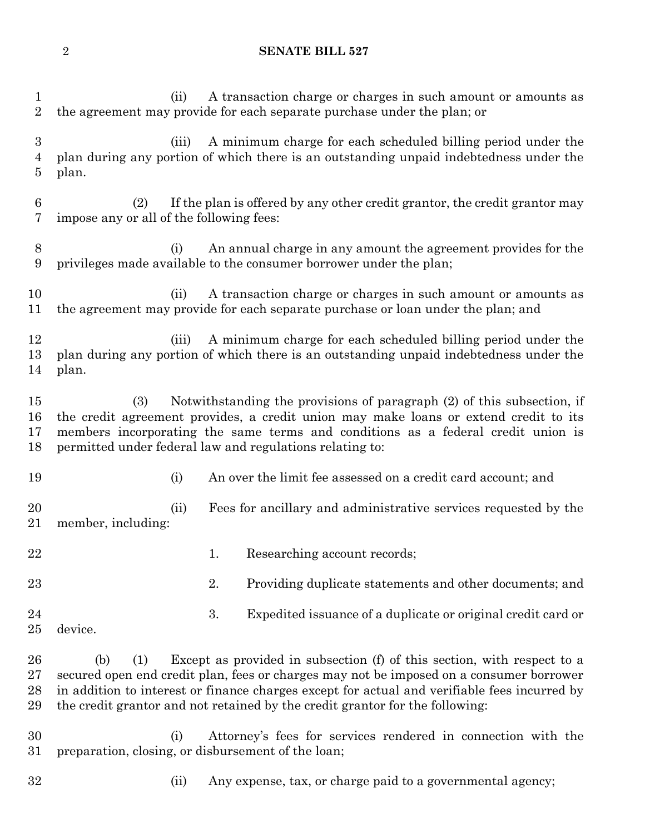#### **SENATE BILL 527**

 (ii) A transaction charge or charges in such amount or amounts as the agreement may provide for each separate purchase under the plan; or (iii) A minimum charge for each scheduled billing period under the plan during any portion of which there is an outstanding unpaid indebtedness under the plan. (2) If the plan is offered by any other credit grantor, the credit grantor may impose any or all of the following fees: (i) An annual charge in any amount the agreement provides for the privileges made available to the consumer borrower under the plan; (ii) A transaction charge or charges in such amount or amounts as the agreement may provide for each separate purchase or loan under the plan; and (iii) A minimum charge for each scheduled billing period under the plan during any portion of which there is an outstanding unpaid indebtedness under the plan. (3) Notwithstanding the provisions of paragraph (2) of this subsection, if the credit agreement provides, a credit union may make loans or extend credit to its members incorporating the same terms and conditions as a federal credit union is permitted under federal law and regulations relating to: (i) An over the limit fee assessed on a credit card account; and (ii) Fees for ancillary and administrative services requested by the member, including: 22 1. Researching account records; 23 23 2. Providing duplicate statements and other documents; and 3. Expedited issuance of a duplicate or original credit card or device. (b) (1) Except as provided in subsection (f) of this section, with respect to a secured open end credit plan, fees or charges may not be imposed on a consumer borrower in addition to interest or finance charges except for actual and verifiable fees incurred by the credit grantor and not retained by the credit grantor for the following: (i) Attorney's fees for services rendered in connection with the preparation, closing, or disbursement of the loan;

- 
- (ii) Any expense, tax, or charge paid to a governmental agency;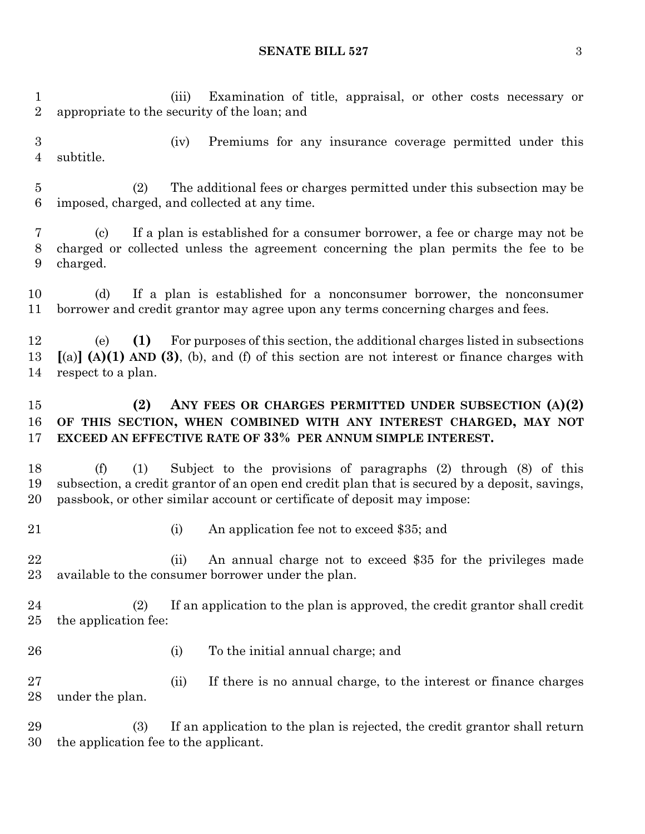#### **SENATE BILL 527** 3

 (iii) Examination of title, appraisal, or other costs necessary or appropriate to the security of the loan; and (iv) Premiums for any insurance coverage permitted under this subtitle. (2) The additional fees or charges permitted under this subsection may be imposed, charged, and collected at any time. (c) If a plan is established for a consumer borrower, a fee or charge may not be charged or collected unless the agreement concerning the plan permits the fee to be charged. (d) If a plan is established for a nonconsumer borrower, the nonconsumer borrower and credit grantor may agree upon any terms concerning charges and fees. (e) **(1)** For purposes of this section, the additional charges listed in subsections **[**(a)**] (A)(1) AND (3)**, (b), and (f) of this section are not interest or finance charges with respect to a plan. **(2) ANY FEES OR CHARGES PERMITTED UNDER SUBSECTION (A)(2) OF THIS SECTION, WHEN COMBINED WITH ANY INTEREST CHARGED, MAY NOT EXCEED AN EFFECTIVE RATE OF 33% PER ANNUM SIMPLE INTEREST.** (f) (1) Subject to the provisions of paragraphs (2) through (8) of this subsection, a credit grantor of an open end credit plan that is secured by a deposit, savings, passbook, or other similar account or certificate of deposit may impose: (i) An application fee not to exceed \$35; and 22 (ii) An annual charge not to exceed \$35 for the privileges made available to the consumer borrower under the plan. (2) If an application to the plan is approved, the credit grantor shall credit the application fee: (i) To the initial annual charge; and (ii) If there is no annual charge, to the interest or finance charges under the plan. (3) If an application to the plan is rejected, the credit grantor shall return the application fee to the applicant.